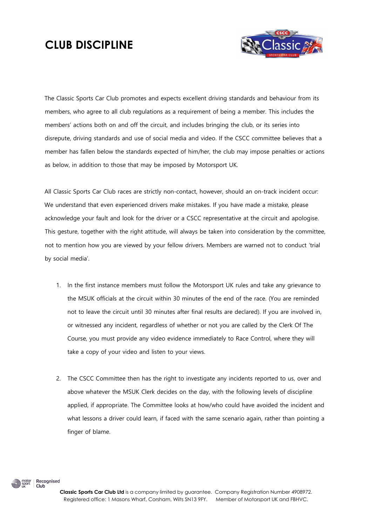## **CLUB DISCIPLINE**



The Classic Sports Car Club promotes and expects excellent driving standards and behaviour from its members, who agree to all club regulations as a requirement of being a member. This includes the members' actions both on and off the circuit, and includes bringing the club, or its series into disrepute, driving standards and use of social media and video. If the CSCC committee believes that a member has fallen below the standards expected of him/her, the club may impose penalties or actions as below, in addition to those that may be imposed by Motorsport UK.

All Classic Sports Car Club races are strictly non-contact, however, should an on-track incident occur: We understand that even experienced drivers make mistakes. If you have made a mistake, please acknowledge your fault and look for the driver or a CSCC representative at the circuit and apologise. This gesture, together with the right attitude, will always be taken into consideration by the committee, not to mention how you are viewed by your fellow drivers. Members are warned not to conduct 'trial by social media'.

- 1. In the first instance members must follow the Motorsport UK rules and take any grievance to the MSUK officials at the circuit within 30 minutes of the end of the race. (You are reminded not to leave the circuit until 30 minutes after final results are declared). If you are involved in, or witnessed any incident, regardless of whether or not you are called by the Clerk Of The Course, you must provide any video evidence immediately to Race Control, where they will take a copy of your video and listen to your views.
- 2. The CSCC Committee then has the right to investigate any incidents reported to us, over and above whatever the MSUK Clerk decides on the day, with the following levels of discipline applied, if appropriate. The Committee looks at how/who could have avoided the incident and what lessons a driver could learn, if faced with the same scenario again, rather than pointing a finger of blame.



Club